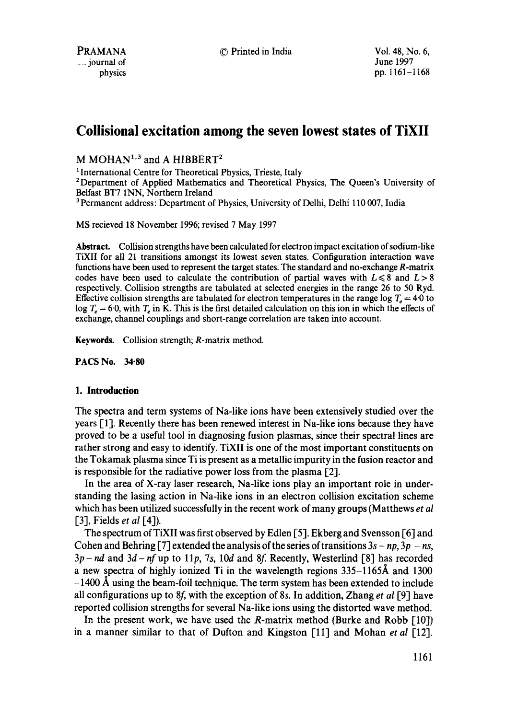# **Collisional excitation among the seven lowest states of TiXII**

 $M MOHAN<sup>1,3</sup>$  and A HIBBERT<sup>2</sup>

<sup>1</sup> International Centre for Theoretical Physics, Trieste, Italy

2Department of Applied Mathematics and Theoretical Physics, The Queen's University of Belfast BT7 INN, Northern Ireland

<sup>3</sup> Permanent address: Department of Physics, University of Delhi, Delhi 110 007, India

MS recieved 18 November 1996; revised 7 May 1997

**Abstract.** Collision strengths have been calculated for electron impact excitation of sodium-like TiXII for all 21 transitions amongst its lowest seven states. Configuration interaction wave functions have been used to represent the target states. The standard and no-exchange R-matrix codes have been used to calculate the contribution of partial waves with  $L \le 8$  and  $L > 8$ respectively. Collision strengths are tabulated at selected energies in the range 26 to 50 Ryd. Effective collision strengths are tabulated for electron temperatures in the range log  $T_e = 4.0$  to log  $T_e = 6.0$ , with  $T_e$  in K. This is the first detailed calculation on this ion in which the effects of exchange, channel couplings and short-range correlation are taken into account.

Keywords. Collision strength; R-matrix method.

PACS No. 34-80

#### **1. Introduction**

The spectra and term systems of Na-like ions have been extensively studied over the years  $[1]$ . Recently there has been renewed interest in Na-like ions because they have proved to be a useful tool in diagnosing fusion plasmas, since their spectral lines are rather strong and easy to identify. TiXII is one of the most important constituents on the Tokamak plasma since Ti is present as a metallic impurity in the fusion reactor and is responsible for the radiative power loss from the plasma [2].

In the area of X-ray laser research, Na-like ions play an important role in understanding the lasing action in Na-like ions in an electron collision excitation scheme which has been utilized successfully in the recent work of many groups (Matthews *et al*  [31, Fields *et al* [4]).

The spectrum of TiXII was first observed by Edlen [51. Ekberg and Svensson [6] and Cohen and Behring [7] extended the analysis of the series of transitions  $3s - np$ ,  $3p - ns$ ,  $3p - nd$  and  $3d - nf$  up to  $11p$ , 7s, 10d and 8f. Recently, Westerlind [8] has recorded a new spectra of highly ionized Ti in the wavelength regions  $335-1165\text{\AA}$  and 1300  $-1400$  Å using the beam-foil technique. The term system has been extended to include all configurations up to 8f, with the exception of 8s. In addition, Zhang *et al* [9] have reported collision strengths for several Na-like ions using the distorted wave method.

In the present work, we have used the R-matrix method (Burke and Robb [10]) in a manner similar to that of Dufton and Kingston [111 and Mohan *et al* [12].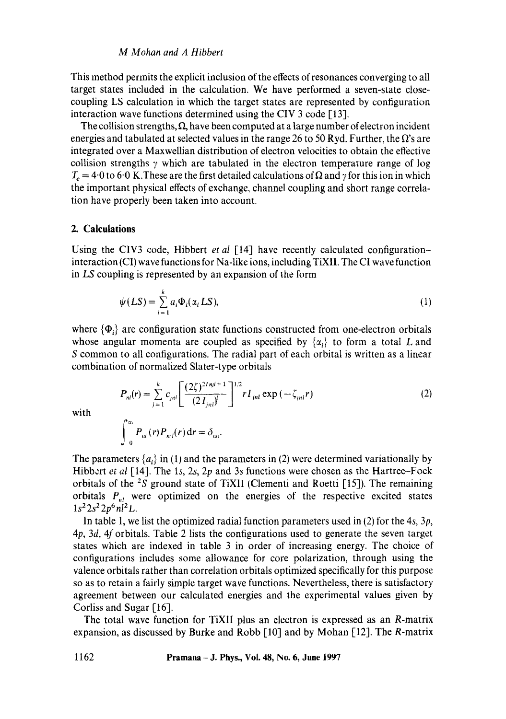### *M Mohan and A Hibbert*

This method permits the explicit inclusion of the effects of resonances converging to all target states included in the calculation. We have performed a seven-state closecoupling LS calculation in which the target states are represented by configuration interaction wave functions determined using the CIV 3 code [13].

The collision strengths,  $\Omega$ , have been computed at a large number of electron incident energies and tabulated at selected values in the range 26 to 50 Ryd. Further, the  $\Omega$ 's are integrated over a Maxwellian distribution of electron velocities to obtain the effective collision strengths  $\gamma$  which are tabulated in the electron temperature range of log  $T_e = 4.0$  to 6.0 K. These are the first detailed calculations of  $\Omega$  and  $\gamma$  for this ion in which the important physical effects of exchange, channel coupling and short range correlation have properly been taken into account.

### **2. Calculations**

Using the CIV3 code, Hibbert *et al* [14] have recently calculated configurationinteraction (CI) wave functions for Na-like ions, including TiXI1. The CI wave function in LS coupling is represented by an expansion of the form

$$
\psi(LS) = \sum_{i=1}^{k} a_i \Phi_i(\alpha_i LS), \tag{1}
$$

where  $\{\Phi_i\}$  are configuration state functions constructed from one-electron orbitals whose angular momenta are coupled as specified by  $\{\alpha_i\}$  to form a total L and S common to all configurations. The radial part of each orbital is written as a linear combination of normalized Slater-type orbitals

$$
P_{nl}(r) = \sum_{j=1}^{k} c_{jnl} \left[ \frac{(2\zeta)^{2Inl+1}}{(2I_{jnl})} \right]^{1/2} r I_{jnl} \exp\left(-\zeta_{jnl}r\right)
$$
 (2)

with

$$
\int_{0}^{\infty} P_{nl}(r) P_{n'l}(r) dr = \delta_{nn}.
$$

The parameters  $\{a_i\}$  in (1) and the parameters in (2) were determined variationally by Hibbert *et al* [14]. The *Is, 2s, 2p* and 3s functions were chosen as the Hartree-Fock orbitals of the *zS* ground state of TiXII (Clementi and Roetti [15]). The remaining orbitals  $P_{nl}$  were optimized on the energies of the respective excited states  $1s^2 2s^2 2p^6 n l^2 L$ .

In table 1, we list the optimized radial function parameters used in (2) for the 4s,  $3p$ ,  $4p$ ,  $3d$ ,  $4f$  orbitals. Table 2 lists the configurations used to generate the seven target states which are indexed in table 3 in order of increasing energy. The choice of configurations includes some allowance for core polarization, through using the valence orbitals rather than correlation orbitals optimized specifically for this purpose so as to retain a fairly simple target wave functions. Nevertheless, there is satisfactory agreement between our calculated energies and the experimental values given by Corliss and Sugar [16].

The total wave function for TiXII plus an electron is expressed as an R-matrix expansion, as discussed by Burke and Robb [10] and by Mohan [12]. The R-matrix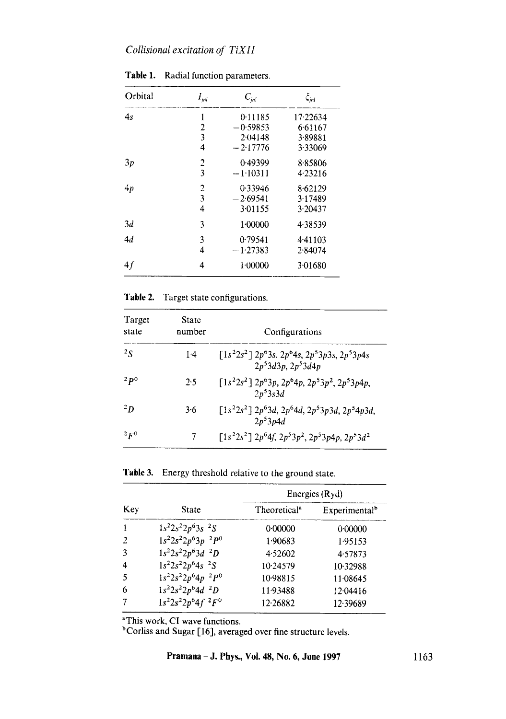# *Cottisionat excitation of TiXII*

| Orbital | $I_{\scriptscriptstyle{pl}}$ | $C_{in}$   | $\zeta_{jnl}$ |
|---------|------------------------------|------------|---------------|
| 4s      | 1                            | 0.11185    | 17.22634      |
|         | 2                            | $-0.59853$ | 6.61167       |
|         | 3                            | 2(14148)   | 3.89881       |
|         | $\overline{4}$               | $-2.17776$ | 3.33069       |
| 3p      | $\overline{c}$               | 0.49399    | 8.85806       |
|         | 3                            | $-1.10311$ | 4.23216       |
| 4p      | 2                            | 0.33946    | 8.62129       |
|         | 3                            | $-2.69541$ | 3.17489       |
|         | 4                            | 3.01155    | 3.20437       |
| 3d      | 3                            | 1.00000    | 4.38539       |
| 4d      | 3                            | 0.79541    | 4.41103       |
|         | 4                            | $-1.27383$ | 2.84074       |
| 4f      | 4                            | 1.00000    | 3.01680       |

**Table 1.** Radial function parameters.

**Table** 2. Target state configurations.

| Target<br>state | State<br>number | Configurations                                                                                    |
|-----------------|-----------------|---------------------------------------------------------------------------------------------------|
| $^{2}S$         | 1.4             | $\lceil 1s^22s^2 \rceil 2p^63s$ , $2p^64s$ , $2p^53p3s$ , $2p^53p4s$<br>$2p^53d^3p$ , $2p^53d^4p$ |
| 2p0             | 2.5             | $[1s22s2]$ $2p63p$ , $2p64p$ , $2p53p2$ , $2p53p4p$ ,<br>$2p^53s3d$                               |
| $^{2}D$         | 3.6             | $\lceil 1s^22s^2 \rceil 2p^63d$ , $2p^64d$ , $2p^53p3d$ , $2p^54p3d$ ,<br>$2p^53p4d$              |
| $^{2}F^{0}$     | 7               | $[1s22s2]$ $2p64f$ , $2p53p2$ , $2p53p4p$ , $2p53d2$                                              |

**Table** 3. Energy threshold relative to the ground state.

|                     |                       |                          | Energies (Ryd)            |  |  |  |  |
|---------------------|-----------------------|--------------------------|---------------------------|--|--|--|--|
| Key                 | State                 | Theoretical <sup>a</sup> | Experimental <sup>b</sup> |  |  |  |  |
| -1                  | $1s^22s^22p^63s^2S$   | 0.00000                  | 0.00000                   |  |  |  |  |
| 2                   | $1s^22s^22p^63p^2P^0$ | 1.90683                  | 1.95153                   |  |  |  |  |
| 3                   | $1s^22s^22p^63d^2D$   | 4.52602                  | 4.57873                   |  |  |  |  |
| $\overline{\bf{4}}$ | $1s^22s^22p^64s^2S$   | 10.24579                 | 10.32988                  |  |  |  |  |
| 5                   | $1s^22s^22p^64p^2P^0$ | 10.98815                 | 11.08645                  |  |  |  |  |
| 6                   | $1s^22s^22p^64d^2D$   | 11.93488                 | 12.04416                  |  |  |  |  |
| 7                   | $1s^22s^22p^64f^2F^0$ | 12.26882                 | 12.39689                  |  |  |  |  |

<sup>a</sup>This work, CI wave functions.

**bCorliss and Sugar [16], averaged over fine structure levels.**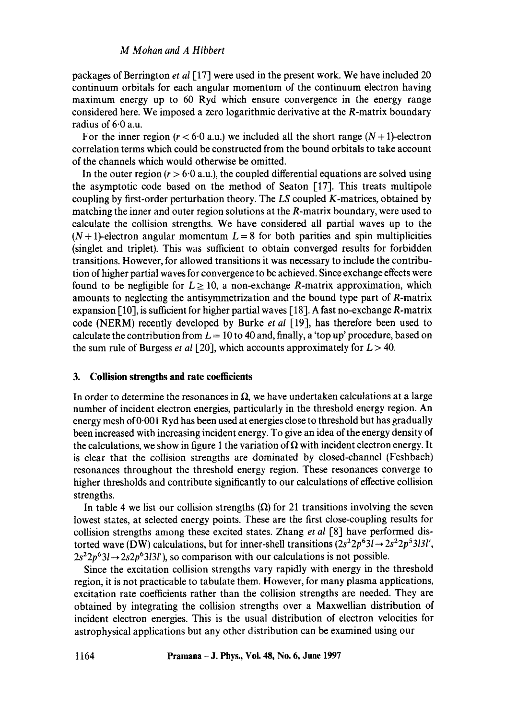packages of Berrington *et al* [17] were used in the present work. We have included 20 continuum orbitals for each angular momentum of the continuum electron having maximum energy up to 60 Ryd which ensure convergence in the energy range considered here. We imposed a zero logarithmic derivative at the R-matrix boundary radius of 6.0 a.u.

For the inner region  $(r < 6.0$  a.u.) we included all the short range  $(N + 1)$ -electron correlation terms which could be constructed from the bound orbitals to take account of the channels which would otherwise be omitted.

In the outer region  $(r > 6.0 \text{ a.u.})$ , the coupled differential equations are solved using the asymptotic code based on the method of Seaton [17]. This treats multipole coupling by first-order perturbation theory. The *LS* coupled K-matrices, obtained by matching the inner and outer region solutions at the R-matrix boundary, were used to calculate the collision strengths. We have considered all partial waves up to the  $(N+1)$ -electron angular momentum  $L = 8$  for both parities and spin multiplicities (singlet and triplet). This was sufficient to obtain converged results for forbidden transitions. However, for allowed transitions it was necessary to include the contribution of higher partial waves for convergence to be achieved. Since exchange effects were found to be negligible for  $L \ge 10$ , a non-exchange R-matrix approximation, which amounts to neglecting the antisymmetrization and the bound type part of R-matrix expansion [10], is sufficient for higher partial waves [ 18]. A fast no-exchange R-matrix code (NERM) recently developed by Burke *et al* [19], has therefore been used to calculate the contribution from  $L = 10$  to 40 and, finally, a 'top up' procedure, based on the sum rule of Burgess *et al* [20], which accounts approximately for  $L > 40$ .

### **3. Collision strengths and rate coefficients**

In order to determine the resonances in  $\Omega$ , we have undertaken calculations at a large number of incident electron energies, particularly in the threshold energy region. An energy mesh of 0"001 Ryd has been used at energies close to threshold but has gradually been increased with increasing incident energy. To give an idea of the energy density of the calculations, we show in figure 1 the variation of  $\Omega$  with incident electron energy. It is clear that the collision strengths are dominated by closed-channel (Feshbach) resonances throughout the threshold energy region. These resonances converge to higher thresholds and contribute significantly to our calculations of effective collision strengths.

In table 4 we list our collision strengths  $(\Omega)$  for 21 transitions involving the seven lowest states, at selected energy points. These are the first close-coupling results for collision strengths among these excited states. Zhang *et al* [8] have performed distorted wave (DW) calculations, but for inner-shell transitions  $(2s^22p^63l \rightarrow 2s^22p^53l3l'$ ,  $2s^22p^63l \rightarrow 2s2p^63l3l'$ , so comparison with our calculations is not possible.

Since the excitation collision strengths vary rapidly with energy in the threshold region, it is not practicable to tabulate them. However, for many plasma applications, excitation rate coefficients rather than the collision strengths are needed. They are obtained by integrating the collision strengths over a Maxwellian distribution of incident electron energies. This is the usual distribution of electron velocities for astrophysical applications but any other distribution can be examined using our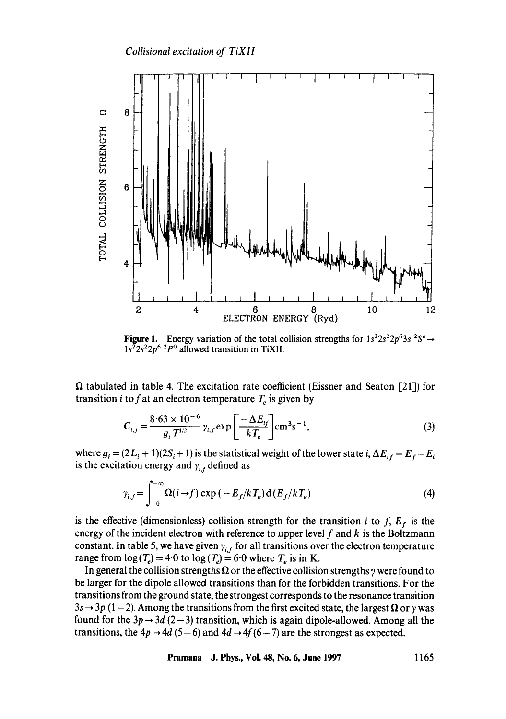

**Figure 1.** Energy variation of the total collision strengths for  $1s^22s^22p^63s^2S^e \rightarrow$ *ls22s22p6 2po* allowed transition in TiXII.

 $\Omega$  tabulated in table 4. The excitation rate coefficient (Eissner and Seaton [21]) for transition *i* to f at an electron temperature  $T_e$  is given by

$$
C_{i,f} = \frac{8.63 \times 10^{-6}}{g_i T^{1/2}} \gamma_{i,f} \exp\left[\frac{-\Delta E_{if}}{kT_e}\right] \text{cm}^3 \text{s}^{-1},\tag{3}
$$

where  $g_i = (2L_i + 1)(2S_i + 1)$  is the statistical weight of the lower state i,  $\Delta E_{if} = E_f - E_i$ is the excitation energy and  $\gamma_{i,f}$  defined as

$$
\gamma_{i,f} = \int_0^{-\infty} \Omega(i \to f) \exp(-E_f/kT_e) d(E_f/kT_e)
$$
 (4)

is the effective (dimensionless) collision strength for the transition *i* to *f*,  $E_f$  is the energy of the incident electron with reference to upper level  $f$  and  $k$  is the Boltzmann constant. In table 5, we have given  $\gamma_{i,f}$  for all transitions over the electron temperature range from  $\log(T_e) = 4.0$  to  $\log(T_e) = 6.0$  where  $T_e$  is in K.

In general the collision strengths  $\Omega$  or the effective collision strengths  $\gamma$  were found to be larger for the dipole allowed transitions than for the forbidden transitions. For the transitions from the ground state, the strongest corresponds to the resonance transition  $3s \rightarrow 3p (1 - 2)$ . Among the transitions from the first excited state, the largest  $\Omega$  or  $\gamma$  was found for the  $3p \rightarrow 3d$  (2-3) transition, which is again dipole-allowed. Among all the transitions, the  $4p \rightarrow 4d$  (5-6) and  $4d \rightarrow 4f(6-7)$  are the strongest as expected.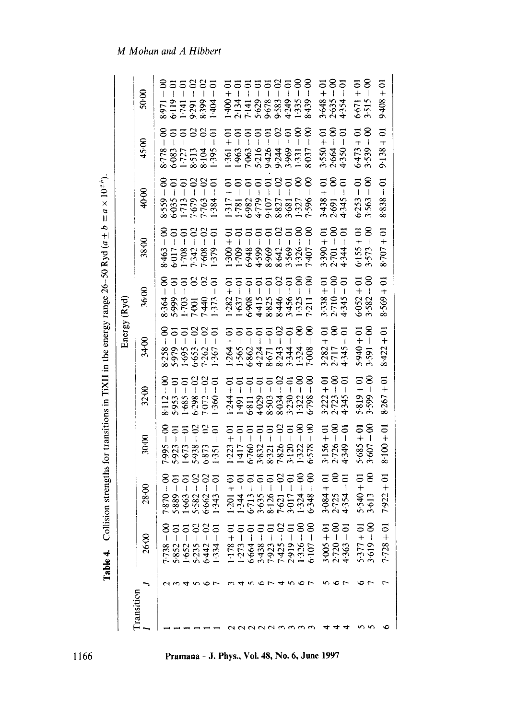|                   | $\overline{c}$<br>l'able 4.  | lision strengths for transitions in TiXII in the energy range 26-50 Ryd ( $a \pm b \equiv a \times 10^{\pm}$ <sup>b</sup> )                                                                                                                                                                      |                               |                                             |                                                         |                                                                   |                                                         |                                                         |                                                          |                                                                                                                  |
|-------------------|------------------------------|--------------------------------------------------------------------------------------------------------------------------------------------------------------------------------------------------------------------------------------------------------------------------------------------------|-------------------------------|---------------------------------------------|---------------------------------------------------------|-------------------------------------------------------------------|---------------------------------------------------------|---------------------------------------------------------|----------------------------------------------------------|------------------------------------------------------------------------------------------------------------------|
|                   |                              |                                                                                                                                                                                                                                                                                                  |                               |                                             |                                                         | Energy (Ryd)                                                      |                                                         |                                                         |                                                          |                                                                                                                  |
| <b>Cransition</b> | 26.00                        | 28.00                                                                                                                                                                                                                                                                                            | 30.00                         | 32.00                                       | 34.00                                                   | 36.00                                                             | 38.00                                                   | 40.00                                                   | 45.00                                                    | 50.00                                                                                                            |
|                   | $-738$                       | $\frac{8}{1}$                                                                                                                                                                                                                                                                                    | $-\infty$<br>7.995            | ຶ້                                          | $\frac{8}{1}$                                           | 8<br>$\sf I$<br>8.364                                             | <u>ေ</u>                                                | 8                                                       | 8                                                        | <u>ຮ</u><br>157-1<br>6119<br>1-741                                                                               |
|                   | .852.                        | 7870<br>5889                                                                                                                                                                                                                                                                                     | $\overline{5}$<br>5.923       | $-61$<br>8:112<br>5:953                     | $-61$<br>8258<br>5979                                   | $\overline{\circ}$                                                | $-01$<br>3463<br>501782<br>501782                       | $\overline{5}$<br>8.559<br>6.035<br>1.713               | 55                                                       |                                                                                                                  |
|                   | $-652$                       | $\Xi$<br>1.663                                                                                                                                                                                                                                                                                   | 5<br>1.673                    | $-61$<br>1.685                              | $\overline{5}$<br>$\overline{\phantom{a}}$<br>1.695     | $\overline{c}$<br>$\frac{1}{2}$ (03                               | $-01$                                                   | $\overline{5}$                                          |                                                          |                                                                                                                  |
|                   |                              | $-02$<br>5.582                                                                                                                                                                                                                                                                                   | 5.938                         | $-02$                                       | $\mathfrak{S}$<br>$\overline{\mathbf{1}}$<br>6:653      | င                                                                 | $\approx$                                               | $\Omega$<br>7-679<br>7.763                              | $\mathfrak{S}$<br>8778<br>6083<br>67777<br>8513<br>8.104 | 758<br>93999                                                                                                     |
|                   | $5.235$<br>$5.442$           | $-02$<br>6.662                                                                                                                                                                                                                                                                                   | $-02$<br>6.873                | $-02$<br>7072                               | Ξ<br>$\overline{1}$<br>1262                             | $\mathbf{S}$<br>1440                                              | $-02$<br>$^{1608}_{1379}$                               | $-02$                                                   | $\infty$                                                 |                                                                                                                  |
|                   | 334                          | $-01$<br>1.343                                                                                                                                                                                                                                                                                   | $-61$<br>1351                 | $-61$<br>1360                               | $-61$<br>1367                                           | $\overline{5}$<br>1373                                            | $\overline{0}$                                          | $-61$<br>1.384                                          | $-61$<br>1.395                                           | $-61$<br>1.404                                                                                                   |
|                   | $0 + 811$                    |                                                                                                                                                                                                                                                                                                  | $rac{1}{2}$<br>1.223          | $rac{1}{2}$<br>.244                         | $.264 + 01$                                             | $-282 + 01$                                                       | $1300 + 01$<br>$1709 - 01$                              | $\frac{1}{2}$<br>1.517<br>1.781<br>0.779<br>107<br>0.79 | $1.361 + 01$<br>$1.963 - 01$                             | $1.400 + 01$<br>$2.134 - 01$<br>$7.141 - 01$<br>$-0.575 - 01$<br>$-0.575 - 01$<br>$-0.575 - 01$<br>$-0.575 - 01$ |
|                   | $-512 -$                     |                                                                                                                                                                                                                                                                                                  |                               | $-01$<br>1.491                              | $-565 - 01$                                             | $\ddot{\circ}$                                                    |                                                         | $\frac{5}{1}$                                           |                                                          |                                                                                                                  |
|                   |                              |                                                                                                                                                                                                                                                                                                  | $1417 - 01$<br>$6 - 760 - 01$ | $\overline{0}$<br>6811                      | $\overline{0}$<br>6862                                  | $\overline{\circ}$<br>$1-637 - 6$<br>$-6.908 - 6$<br>$-6.908 - 6$ | $\overline{5}$<br>5-948                                 |                                                         | $-61$<br>7-063<br>5-216                                  | $7777288$                                                                                                        |
|                   | $6 - 664 - 01$<br>3.438 - 01 |                                                                                                                                                                                                                                                                                                  | $3.832 - 01$                  | $\overline{0}$<br>4029                      | $\Xi$<br>$\mathbf{I}$<br>4.224<br>8.671                 | 5                                                                 | $\overline{0}$<br>$4.599 - 8.969$                       | $-01$                                                   |                                                          |                                                                                                                  |
|                   | $1.923 - 01$                 |                                                                                                                                                                                                                                                                                                  | $-01$<br>8:321                | $\overline{\circ}$<br>$\mathbf{I}$<br>8.503 | ਠ<br>Ì                                                  | $\overline{\circ}$<br>8.825                                       | $\overline{0}$                                          | $-01$                                                   | $\overline{c}$<br>9426                                   |                                                                                                                  |
|                   | $-25 - 02$                   |                                                                                                                                                                                                                                                                                                  | $7.826 - 02$                  | $-02$<br>8034                               | $\Omega$<br>$\pmb{\mathsf{l}}$<br>8243                  | 2<br>$-944.8$                                                     | $\Omega$<br>8.642                                       | $\Omega$<br>8.827<br>3.681                              | $\infty$<br>9.244                                        |                                                                                                                  |
|                   | $10 - 616$                   | $-02$                                                                                                                                                                                                                                                                                            | $rac{1}{\sqrt{2}}$            | ਠ<br>$\overline{1}$<br>3.230                | $\overline{\circ}$<br>$\overline{\phantom{a}}$<br>3.344 | $\overline{5}$<br>$3.456 -$                                       | $\overline{5}$<br>$\overline{\phantom{a}}$<br>$8.569 -$ | $-61$                                                   | $-61$                                                    | 4.249                                                                                                            |
|                   | $1326 -$                     |                                                                                                                                                                                                                                                                                                  | $\infty$<br>ī<br>3.120        | $\frac{8}{1}$<br>1.322                      | $\frac{8}{1}$                                           | $\frac{8}{1}$<br>$1.325 -$                                        | $1.326 - 00$<br>7:407 - 00                              | $\frac{8}{1}$<br>1.327<br>7.596                         | $-8$<br>1.331<br>8.037                                   | 1335                                                                                                             |
|                   | $6-107 -$                    | $-00$<br>$\begin{array}{l} 1.201 + 1.01 \\ 1.344 - 0.01 \\ 1.345 - 0.01 \\ 6.713 - 0.01 \\ 7.621 - 0.01 \\ 8.126 - 0.01 \\ 7.621 - 0.00 \\ 7.324 - 0.00 \\ 7.324 - 0.00 \\ 8.132 + 0.00 \\ 1.324 - 0.00 \\ 1.324 - 0.00 \\ 1.324 - 0.00 \\ 1.324 - 0.00 \\ 1.324 - 0.00 \\ 1.324 - 0.00 \\ 1.32$ | $-00$<br>6.578                | $-8$<br>6.798                               | $\frac{8}{1}$<br>7:008                                  | $\epsilon$<br>$7.211 -$                                           |                                                         | $\frac{8}{1}$                                           | $-00$                                                    |                                                                                                                  |
|                   | $3.005 + 01$                 |                                                                                                                                                                                                                                                                                                  |                               | $3.222 + 01$                                |                                                         |                                                                   | $10 + 066.8$                                            |                                                         |                                                          |                                                                                                                  |
| ₹                 | $2.720 - 0$                  | $3.084 + 01$<br>2.725 - 00                                                                                                                                                                                                                                                                       | $3.156 + 01$<br>2.726 – 00    | $2.723 - 00$                                | $3.282 + 01$<br>$2.717 - 00$                            | $3.338 + 01$<br>2.710 $-00$                                       | $2.701 - 00$<br>$4.344 - 01$                            | $3.438 + 01$<br>2.691 - 00<br>4.345 - 01                | $3.550 + 01$<br>$2.664 - 00$<br>$4.350 - 01$             | $3.648 + 01$<br>2.635 - 00<br>4.354 - 01                                                                         |
| ਚ                 | $1363 -$                     | $-01$<br>4.354                                                                                                                                                                                                                                                                                   | $4.349 - 01$                  | $-61$<br>4.345                              | $-01$<br>4345                                           | 5<br>$4.345 -$                                                    |                                                         | 4.345                                                   |                                                          |                                                                                                                  |
|                   | $5 - 377 + 01$               | $5.540 + 01$                                                                                                                                                                                                                                                                                     | $5.685 + 01$                  | $5.819 + 01$                                | $10 + 0 + 0.5$                                          | $+01$<br>$6 - 0.9$                                                | $-6$<br>6:155                                           | $\frac{1}{2}$<br>6.253                                  | $6473 + 01$                                              | $6.671 + 01$<br>3.515 - 00                                                                                       |
| n v               | $0 - 619 - 0$                | $-00$<br>3.613                                                                                                                                                                                                                                                                                   | $-60$<br>3.607                | $3.599 - 00$                                | $3.591 - 00$                                            | $3.582 - 00$                                                      | $-8$<br>3.573                                           | $-8$<br>3.563                                           | $3.539 - 00$                                             |                                                                                                                  |
|                   | $7 - 728 + 0$                | $7.922 + 01$                                                                                                                                                                                                                                                                                     | $8-100+01$                    | $8.267 + 01$                                | $8.422 + 01$                                            | $8.569 + 01$                                                      | $10 + 707 + 8$                                          | $6 + 858 + 61$                                          | $9.138 + 01$                                             | $10 + 804.6$                                                                                                     |

1166

**i p i phys Vol. 48. No.**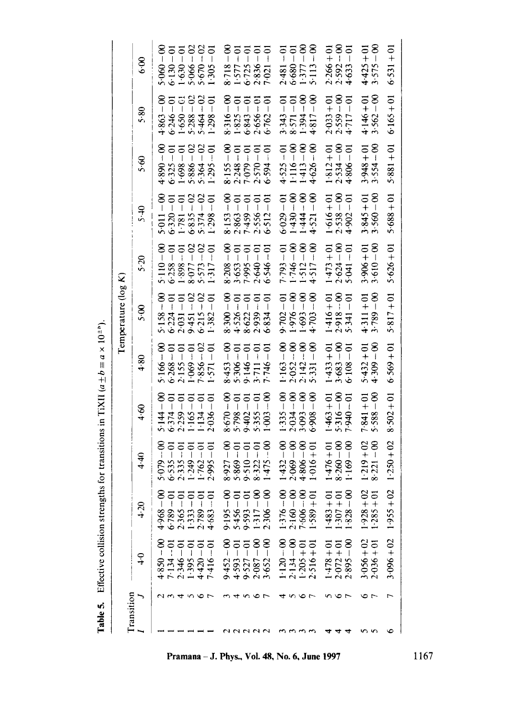**Table 5.** Effective collision strengths for transitions in TiXII ( $a \pm b = a \times 10^{-4}$ °). **Table 5.** Effective collision strengths for transitions in TiXII  $(a \pm b \equiv a \times 10^{24})$ .

|                        | 8.9           |                                              |                                  |                                              |                         |                                                                                                                                                                                                                                                                    | $5.060 - 00$<br>$6.130 - 01$<br>$1.630 - 01$<br>$1.630 - 02$<br>$5.670 - 022$<br>$5.670 - 02$ | 8.718                  |                                            | $1.577$<br>6.725              |                              | $8.718 - 00$<br>$1.577 - 01$<br>$6.725 - 01$<br>$2.836 - 01$<br>$7.021 - 01$ |                            |                              | $2.481 - 01$<br>$6.680 - 01$<br>$1.377 - 00$<br>$5.113 - 00$ |                   |                            |                            | $2.266 + 01$<br>$2.592 - 00$<br>$4.633 - 01$ | $4.425 + 01$ | $3.575 - 00$               | $6.531 + 01$   |
|------------------------|---------------|----------------------------------------------|----------------------------------|----------------------------------------------|-------------------------|--------------------------------------------------------------------------------------------------------------------------------------------------------------------------------------------------------------------------------------------------------------------|-----------------------------------------------------------------------------------------------|------------------------|--------------------------------------------|-------------------------------|------------------------------|------------------------------------------------------------------------------|----------------------------|------------------------------|--------------------------------------------------------------|-------------------|----------------------------|----------------------------|----------------------------------------------|--------------|----------------------------|----------------|
| Temperature ( $\log K$ | 5.80          |                                              |                                  | $4.863 - 00$<br>$6.246 - 01$<br>$1.650 - 61$ | $-02$<br>5.288          | 5.464                                                                                                                                                                                                                                                              | $\overline{0}$<br>1.298                                                                       | $8.316 - 00$           |                                            | $1.825 - 01$<br>6.843 - 01    | 2.656                        | $\frac{5}{10}$<br>$6 - 762$                                                  |                            | $3.343 - 01$<br>$8.571 - 01$ | $-\infty$<br>1.394                                           | $4.817 - 00$      |                            |                            | $2.033 + 01$<br>$2.559 - 00$<br>$4.717 - 01$ | $4.146 + 01$ | $3.562 - 00$               | $6.165 + 01$   |
|                        | 5.60          | $0 - 068 \cdot t$                            | $5.325 - 01$                     | $-6$<br>1.698                                | $5.886 - 02$            | $-02$<br>5.364                                                                                                                                                                                                                                                     | $1.295 - 01$                                                                                  |                        | $8.155 - 00$<br>2.248 - 01                 | $-61$<br>7.079                | $-61$<br>2.570               | $-01$<br>6.594                                                               |                            | $4.525 - 01$<br>1.116 - 00   | $-\infty$<br>1413.                                           | $4.626 - 00$      |                            | $1.812 + 01$<br>2.534 - 00 | $4.806 - 01$                                 | $3.948 + 01$ | $3.554 - 00$               | $5.881 + 01$   |
|                        | ۹.۶           | $5 - 011 - 00$                               |                                  | $6.320 - 01$<br>1.781 - 01                   | $\infty$                | $-02$<br>$6.835 - 6.5374 - 6.5374 - 6.5374 - 6.5374 - 6.5374 - 6.5374 - 6.5374 - 6.5374 - 6.5374 - 6.5374 - 6.5374 - 6.5374 - 6.5374 - 6.5374 - 6.5374 - 6.5374 - 6.5374 - 6.5374 - 6.5374 - 6.5374 - 6.5374 - 6.5374 - 6.5374 - 6.5374 - 6.5374 - 6.5374 - 6.537$ | $1.298 - 01$                                                                                  | $8.153 - 00$           | $2.863 - 01$                               | $-61$<br>7.459                | $2.556 - 01$                 | $6 - 512 - 01$                                                               | $6 - 029 - 01$             | $-06 - 06 + 1$               | $00 - 444 - 00$                                              | $4.521 - 00$      |                            | $1.616 + 01$<br>2.538 - 00 | $4.902 - 01$                                 | $3.845 + 01$ | $3.560 - 00$               | $5.688 + 01$   |
|                        | 6.5           |                                              | $5.110 - 00$<br>$6.258 - 01$     | $1.898 - 01$                                 | $8.077 - 02$            | $5.573 - 02$                                                                                                                                                                                                                                                       | $1.317 - 01$                                                                                  |                        | $8.208 - 00$<br>$3.653 - 01$<br>7.995 – 01 |                               | $2.640 - 01$                 | $6 - 6 + 546 - 01$                                                           | $7 - 793 - 01$             | $1.746 - 00$                 | $1.512 - 00$<br>$4.517 - 00$                                 |                   | $1.473 + 01$               | $2.624 - 00$               | $5.041 - 01$                                 | $3.906 + 01$ | $3.610 - 00$               | $5.626 + 01$   |
|                        | 5.00          | $5.158 - 00$<br>$6.224 - 01$<br>$2.031 - 01$ |                                  |                                              | $9.451 - 02$            | $-02$<br>6.215                                                                                                                                                                                                                                                     | $\overline{0}$<br>1.382                                                                       | $8 - 00 - 8$           | $4.526 - 01$<br>8.622 - 01                 | $8 - 622 - 01$<br>2.939 $-01$ |                              | $6 - 834 - 01$                                                               | $9 - 702 - 01$             | $00 - 976 - 1$               | $1.693 - 00$                                                 | $4 - 703 - 00$    | $1.416 + 01$               | $2.918 - 00$<br>5.341 - 01 |                                              | $4.311 + 01$ | $3.789 - 00$               | $5.817 + 01$   |
|                        | 4.80          | $5.166 - 00$<br>$6.268 - 01$<br>$2.155 - 01$ |                                  | 2.155                                        | $1.069 - 01$            | $7.856 - 02$                                                                                                                                                                                                                                                       | $\overline{0}$<br>1.571                                                                       | $\frac{8}{1}$<br>8.453 | $5.306 - 01$                               |                               | $9.146 - 01$<br>$3.711 - 01$ | $7.746 - 01$                                                                 | $-63 - 00$                 | $2.052 - 00$<br>$2.142 - 00$ |                                                              | $5.331 - 00$      | $1.433 + 01$               | $3.683 - 00$               | $-61$<br>6.108                               |              | $5.432 + 01$<br>4.309 - 00 | $6 - 569 + 01$ |
|                        | 4.60          | $\frac{8}{1}$<br>5.144                       | 6.374                            | $\overline{0}$ = $\overline{0}$<br>2.259     | $\overline{0}$<br>1.165 | $\overline{q}$<br>1.134                                                                                                                                                                                                                                            | $-0$<br>2.036                                                                                 |                        | $8.670 - 00$<br>5.798 - 01<br>557          | 9:402                         |                              | $\frac{8}{1}$<br>1.003                                                       | $\frac{8}{1}$<br>1.335     | $\frac{8}{1}$<br>2.034       | $-\infty$<br>3.093                                           | $\infty$<br>6.908 | $10 + 63 + 01$             | $5.316 - 00$               | $10 - 010 - 1$                               | $7.841 + 01$ | $-8$<br>5.588              | $8.502 + 01$   |
|                        | 4.40          | $-60$                                        | $-01$<br>5079.<br>6535.<br>2335. |                                              | $-6$<br>1.249           | $\overline{0}$<br>1.762                                                                                                                                                                                                                                            | $\overline{0}$<br>2.995                                                                       | $\frac{8}{1}$<br>8.927 | $\frac{5}{1}$<br>5.869                     |                               | $\overline{0}$<br>8.322      | $-90$<br>1.475                                                               | $1.432 - 00$<br>2.069 - 00 |                              | $4.806 - 00$                                                 | $1.016 + 01$      | $1.476 + 01$<br>8.260 - 00 |                            | $1.169 - 00$                                 | $1.219 + 02$ | $8.221 - 00$               | $1.250 + 02$   |
|                        | $-1.20$       | $0 - 896.4$                                  | $6 - 88 - 0$                     | $2.365 - 01$                                 | $1.333 - 0$             | $2.789 - 0$                                                                                                                                                                                                                                                        | $4.683 - 01$                                                                                  | $9.195 - 00$           | $5.456 - 0$                                | $9 - 593 - 01$                | $1 - 317 - 00$               | $2.306 - 00$                                                                 | $1.376 - 00$               | $2.160 - 00$                 | $7.606 - 00$                                                 | $.589 + 01$       | $-483 + 0$                 | $-307 + 01$                | $-828 - 00$                                  | $1.928 + 02$ | $1.285 + 01$               | $1.955 + 02$   |
|                        | $\frac{6}{1}$ | $4.850 - 00$                                 | $7.134 - 01$                     | $2.346 - 01$                                 | $-395 - 01$             | $4.420 - 01$                                                                                                                                                                                                                                                       | $7.416 - 01$                                                                                  | $\frac{8}{1}$<br>9.452 | $4.593 - 01$                               | $-61$<br>9.527                | $2.087 - 00$                 | $3.652 - 00$                                                                 | $1.120 - 00$               | $2.134 - 00$                 | $1.205 + 01$                                                 | $2.516 + 01$      | $10 + 81 + 01$             | $2.072 + 01$               | $2.895 - 00$                                 | $3.056 + 02$ | $2.036 + 01$               | $3.096 + 02$   |
|                        |               |                                              |                                  |                                              |                         | ৩                                                                                                                                                                                                                                                                  | $\overline{r}$                                                                                |                        |                                            |                               |                              |                                                                              |                            |                              | ७                                                            |                   |                            |                            |                                              |              | r                          |                |
| Transition             |               |                                              |                                  |                                              |                         |                                                                                                                                                                                                                                                                    |                                                                                               |                        |                                            |                               |                              |                                                                              |                            |                              |                                                              |                   |                            |                            |                                              |              |                            |                |

na – J. Phys., Vol. 48, No. 6, June 1997